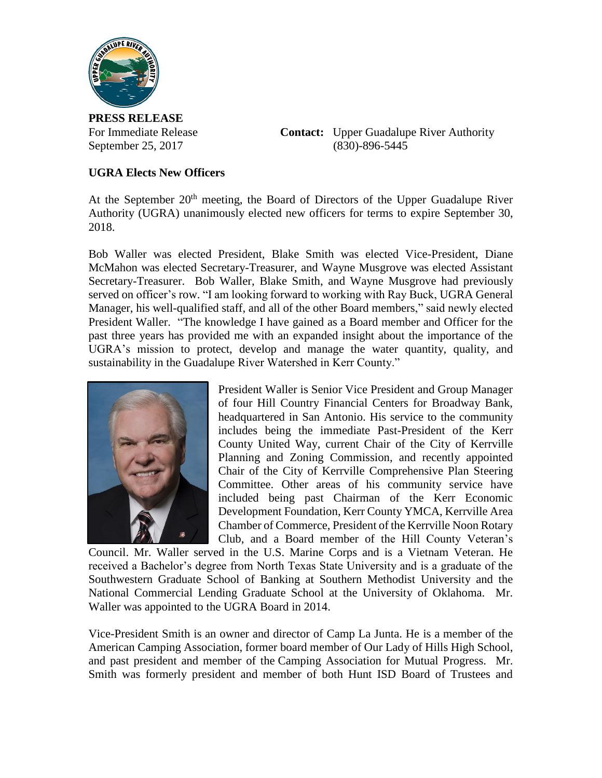

**PRESS RELEASE**

For Immediate Release **Contact:** Upper Guadalupe River Authority September 25, 2017 (830)-896-5445

## **UGRA Elects New Officers**

At the September  $20<sup>th</sup>$  meeting, the Board of Directors of the Upper Guadalupe River Authority (UGRA) unanimously elected new officers for terms to expire September 30, 2018.

Bob Waller was elected President, Blake Smith was elected Vice-President, Diane McMahon was elected Secretary-Treasurer, and Wayne Musgrove was elected Assistant Secretary-Treasurer. Bob Waller, Blake Smith, and Wayne Musgrove had previously served on officer's row. "I am looking forward to working with Ray Buck, UGRA General Manager, his well-qualified staff, and all of the other Board members," said newly elected President Waller. "The knowledge I have gained as a Board member and Officer for the past three years has provided me with an expanded insight about the importance of the UGRA's mission to protect, develop and manage the water quantity, quality, and sustainability in the Guadalupe River Watershed in Kerr County."



President Waller is Senior Vice President and Group Manager of four Hill Country Financial Centers for Broadway Bank, headquartered in San Antonio. His service to the community includes being the immediate Past-President of the Kerr County United Way, current Chair of the City of Kerrville Planning and Zoning Commission, and recently appointed Chair of the City of Kerrville Comprehensive Plan Steering Committee. Other areas of his community service have included being past Chairman of the Kerr Economic Development Foundation, Kerr County YMCA, Kerrville Area Chamber of Commerce, President of the Kerrville Noon Rotary Club, and a Board member of the Hill County Veteran's

Council. Mr. Waller served in the U.S. Marine Corps and is a Vietnam Veteran. He received a Bachelor's degree from North Texas State University and is a graduate of the Southwestern Graduate School of Banking at Southern Methodist University and the National Commercial Lending Graduate School at the University of Oklahoma. Mr. Waller was appointed to the UGRA Board in 2014.

Vice-President Smith is an owner and director of Camp La Junta. He is a member of the American Camping Association, former board member of Our Lady of Hills High School, and past president and member of the Camping Association for Mutual Progress. Mr. Smith was formerly president and member of both Hunt ISD Board of Trustees and